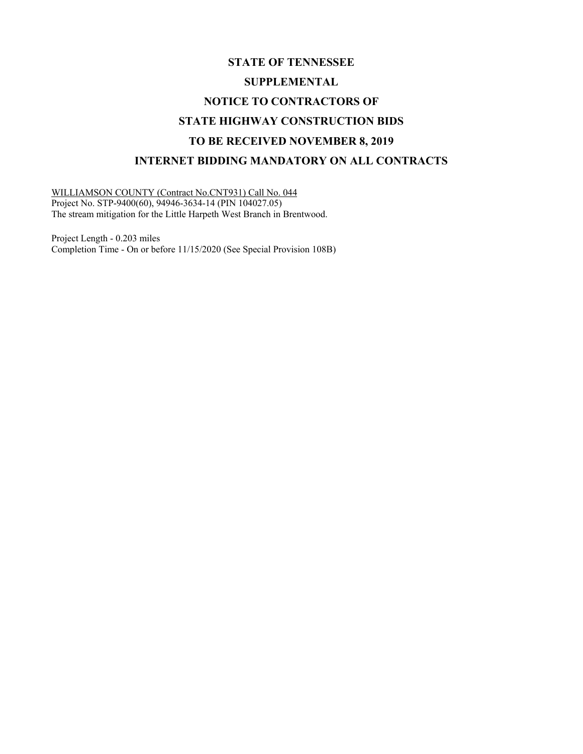## **STATE OF TENNESSEE SUPPLEMENTAL NOTICE TO CONTRACTORS OF STATE HIGHWAY CONSTRUCTION BIDS TO BE RECEIVED NOVEMBER 8, 2019 INTERNET BIDDING MANDATORY ON ALL CONTRACTS**

WILLIAMSON COUNTY (Contract No.CNT931) Call No. 044 Project No. STP-9400(60), 94946-3634-14 (PIN 104027.05) The stream mitigation for the Little Harpeth West Branch in Brentwood.

Project Length - 0.203 miles Completion Time - On or before 11/15/2020 (See Special Provision 108B)